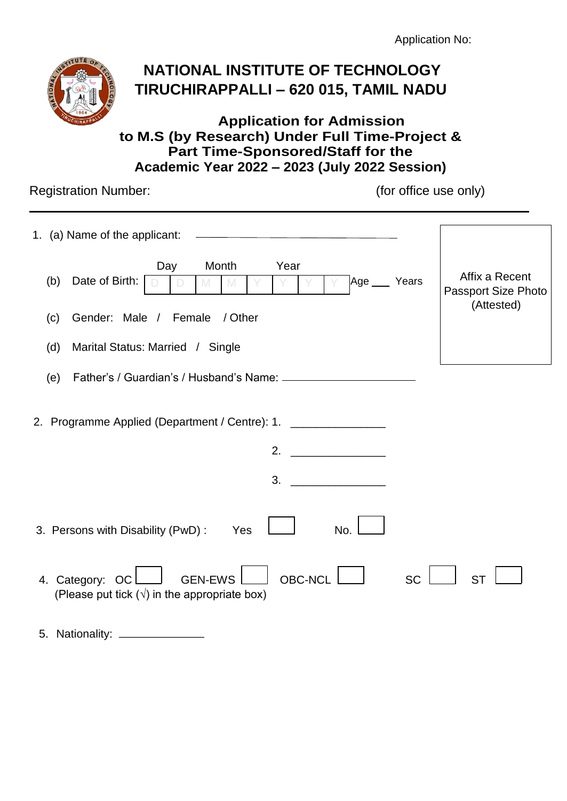Application No:



# **NATIONAL INSTITUTE OF TECHNOLOGY TIRUCHIRAPPALLI – 620 015, TAMIL NADU**

### **Application for Admission to M.S (by Research) Under Full Time-Project & Part Time-Sponsored/Staff for the Academic Year 2022 – 2023 (July 2022 Session)**

Registration Number: (for office use only)

5. Nationality:

| 1. (a) Name of the applicant:                                                                                            |                                                            |
|--------------------------------------------------------------------------------------------------------------------------|------------------------------------------------------------|
| Month<br>Year<br>Day<br>Date of Birth:<br>Age __ Years<br>(b)                                                            | Affix a Recent<br><b>Passport Size Photo</b><br>(Attested) |
| Gender: Male / Female / Other<br>(c)                                                                                     |                                                            |
| Marital Status: Married / Single<br>(d)                                                                                  |                                                            |
| (e)                                                                                                                      |                                                            |
| 2. Programme Applied (Department / Centre): 1. ___________________<br>2.<br>3.                                           |                                                            |
| No.<br>3. Persons with Disability (PwD):<br>Yes                                                                          |                                                            |
| <b>OBC-NCL</b><br><b>SC</b><br>4. Category: OC<br><b>GEN-EWS</b><br>(Please put tick $(\sqrt{})$ in the appropriate box) | <b>ST</b>                                                  |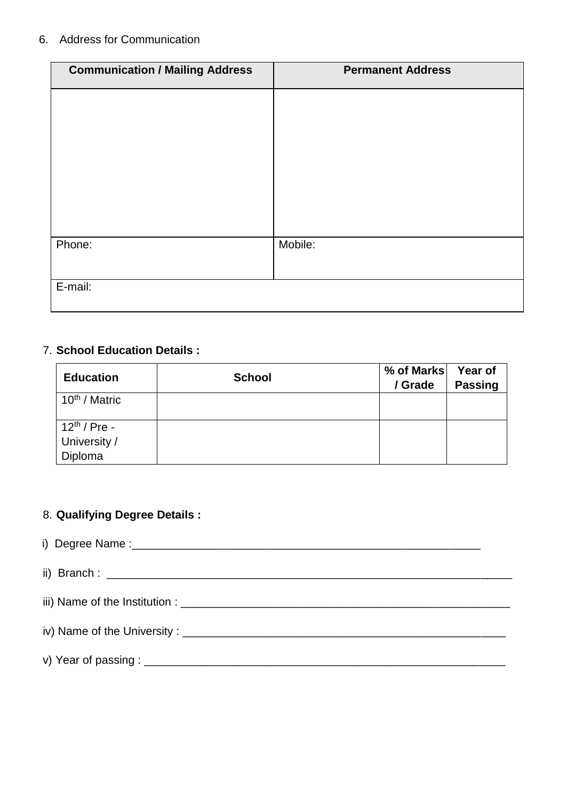#### 6. Address for Communication

| <b>Communication / Mailing Address</b> | <b>Permanent Address</b> |
|----------------------------------------|--------------------------|
|                                        |                          |
|                                        |                          |
|                                        |                          |
|                                        |                          |
|                                        |                          |
|                                        |                          |
| Phone:                                 | Mobile:                  |
|                                        |                          |
| E-mail:                                |                          |

### 7. **School Education Details :**

| <b>Education</b>          | <b>School</b> | % of Marks<br>/ Grade | Year of<br><b>Passing</b> |
|---------------------------|---------------|-----------------------|---------------------------|
| 10 <sup>th</sup> / Matric |               |                       |                           |
| $12^{th}$ / Pre -         |               |                       |                           |
| University /              |               |                       |                           |
| Diploma                   |               |                       |                           |

### 8. **Qualifying Degree Details :**

 i) Degree Name :\_\_\_\_\_\_\_\_\_\_\_\_\_\_\_\_\_\_\_\_\_\_\_\_\_\_\_\_\_\_\_\_\_\_\_\_\_\_\_\_\_\_\_\_\_\_\_\_\_\_\_\_\_\_\_ ii) Branch : \_\_\_\_\_\_\_\_\_\_\_\_\_\_\_\_\_\_\_\_\_\_\_\_\_\_\_\_\_\_\_\_\_\_\_\_\_\_\_\_\_\_\_\_\_\_\_\_\_\_\_\_\_\_\_\_\_\_\_\_\_\_\_\_ iii) Name of the Institution : \_\_\_\_\_\_\_\_\_\_\_\_\_\_\_\_\_\_\_\_\_\_\_\_\_\_\_\_\_\_\_\_\_\_\_\_\_\_\_\_\_\_\_\_\_\_\_\_\_\_\_\_ iv) Name of the University : \_\_\_\_\_\_\_\_\_\_\_\_\_\_\_\_\_\_\_\_\_\_\_\_\_\_\_\_\_\_\_\_\_\_\_\_\_\_\_\_\_\_\_\_\_\_\_\_\_\_\_ v) Year of passing : \_\_\_\_\_\_\_\_\_\_\_\_\_\_\_\_\_\_\_\_\_\_\_\_\_\_\_\_\_\_\_\_\_\_\_\_\_\_\_\_\_\_\_\_\_\_\_\_\_\_\_\_\_\_\_\_\_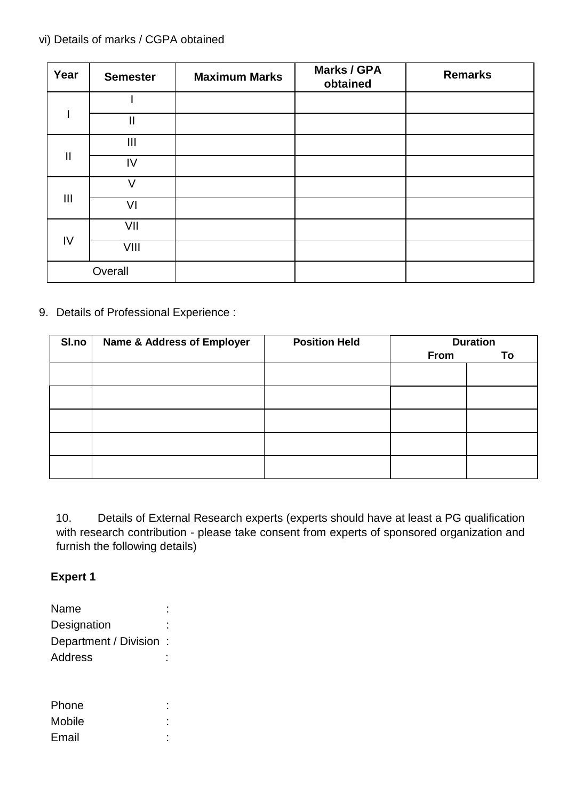### vi) Details of marks / CGPA obtained

| Year           | <b>Semester</b> | <b>Maximum Marks</b> | Marks / GPA<br>obtained | <b>Remarks</b> |
|----------------|-----------------|----------------------|-------------------------|----------------|
|                |                 |                      |                         |                |
|                | $\mathbf{II}$   |                      |                         |                |
|                | $\mathbf{III}$  |                      |                         |                |
| $\mathbf{I}$   | IV              |                      |                         |                |
| $\mathbf{III}$ | $\mathcal{U}$   |                      |                         |                |
|                | VI              |                      |                         |                |
| IV             | VII             |                      |                         |                |
|                | VIII            |                      |                         |                |
|                | Overall         |                      |                         |                |

9. Details of Professional Experience :

| SI.no | <b>Name &amp; Address of Employer</b> | <b>Position Held</b> | <b>Duration</b> |    |
|-------|---------------------------------------|----------------------|-----------------|----|
|       |                                       |                      | <b>From</b>     | To |
|       |                                       |                      |                 |    |
|       |                                       |                      |                 |    |
|       |                                       |                      |                 |    |
|       |                                       |                      |                 |    |
|       |                                       |                      |                 |    |
|       |                                       |                      |                 |    |

10. Details of External Research experts (experts should have at least a PG qualification with research contribution - please take consent from experts of sponsored organization and furnish the following details)

### **Expert 1**

| Name                  |  |
|-----------------------|--|
| Designation           |  |
| Department / Division |  |
| Address               |  |
|                       |  |
|                       |  |
| Phone                 |  |
| Mobile                |  |
| Email                 |  |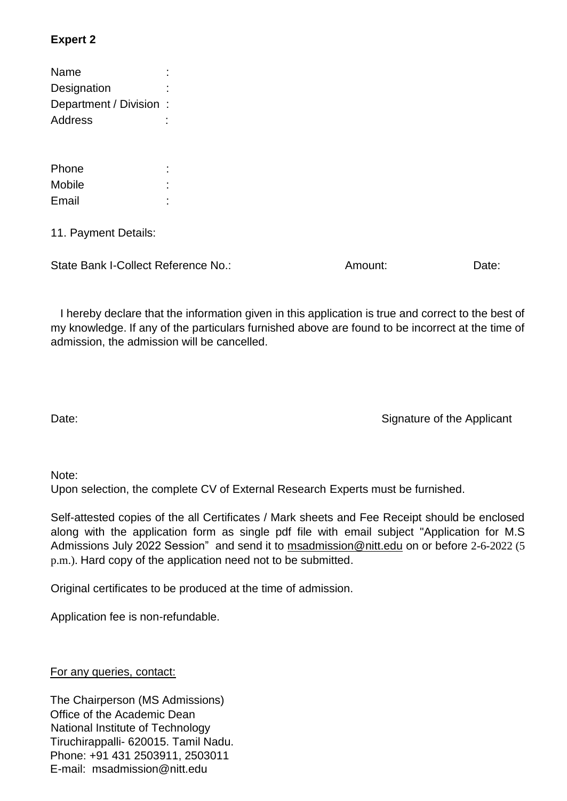### **Expert 2**

| Name                  |  |
|-----------------------|--|
| Designation           |  |
| Department / Division |  |
| Address               |  |
|                       |  |

| Phone  | ٠<br>٠ |
|--------|--------|
| Mobile | ٠<br>٠ |
| Email  | ٠<br>٠ |

11. Payment Details:

State Bank I-Collect Reference No.: Amount: Amount: Date:

 I hereby declare that the information given in this application is true and correct to the best of my knowledge. If any of the particulars furnished above are found to be incorrect at the time of admission, the admission will be cancelled.

Date: Signature of the Applicant

#### Note:

Upon selection, the complete CV of External Research Experts must be furnished.

Self-attested copies of the all Certificates / Mark sheets and Fee Receipt should be enclosed along with the application form as single pdf file with email subject "Application for M.S Admissions July 2022 Session" and send it to [msadmission@nitt.edu](mailto:msadmission@nitt.edu) on or before 2-6-2022 (5 p.m.). Hard copy of the application need not to be submitted.

Original certificates to be produced at the time of admission.

Application fee is non-refundable.

For any queries, contact:

The Chairperson (MS Admissions) Office of the Academic Dean National Institute of Technology Tiruchirappalli- 620015. Tamil Nadu. Phone: +91 431 2503911, 2503011 E-mail: msadmission@nitt.edu